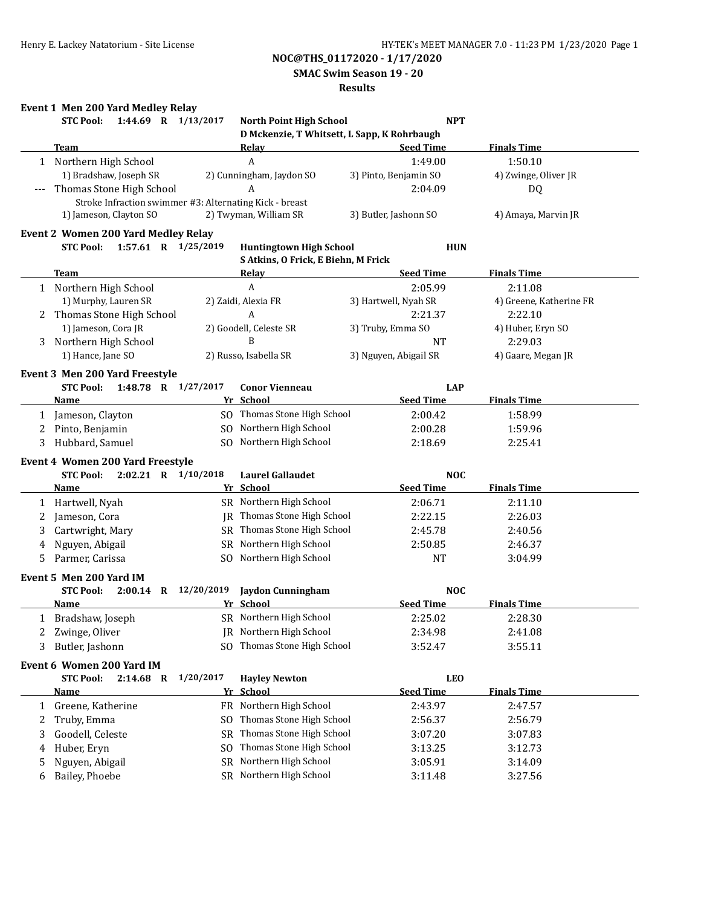**SMAC Swim Season 19 - 20**

### **Results**

## **Event 1 Men 200 Yard Medley Relay**

|              | 1:44.69 R 1/13/2017<br><b>STC Pool:</b>                 |           | <b>North Point High School</b>              | <b>NPT</b>            |                         |
|--------------|---------------------------------------------------------|-----------|---------------------------------------------|-----------------------|-------------------------|
|              |                                                         |           | D Mckenzie, T Whitsett, L Sapp, K Rohrbaugh |                       |                         |
|              | <b>Team</b>                                             |           | <b>Relay</b>                                | <b>Seed Time</b>      | <b>Finals Time</b>      |
|              | 1 Northern High School                                  |           | A                                           | 1:49.00               | 1:50.10                 |
|              | 1) Bradshaw, Joseph SR                                  |           | 2) Cunningham, Jaydon SO                    | 3) Pinto, Benjamin SO | 4) Zwinge, Oliver JR    |
|              | Thomas Stone High School                                |           | A                                           | 2:04.09               | DQ                      |
|              | Stroke Infraction swimmer #3: Alternating Kick - breast |           |                                             |                       |                         |
|              | 1) Jameson, Clayton SO                                  |           | 2) Twyman, William SR                       | 3) Butler, Jashonn SO | 4) Amaya, Marvin JR     |
|              | <b>Event 2 Women 200 Yard Medley Relay</b>              |           |                                             |                       |                         |
|              | <b>STC Pool:</b><br>1:57.61 R 1/25/2019                 |           | <b>Huntingtown High School</b>              | <b>HUN</b>            |                         |
|              |                                                         |           | S Atkins, O Frick, E Biehn, M Frick         |                       |                         |
|              | Team                                                    |           | <b>Relay</b>                                | <b>Seed Time</b>      | <b>Finals Time</b>      |
|              | 1 Northern High School                                  |           | $\boldsymbol{A}$                            | 2:05.99               | 2:11.08                 |
|              | 1) Murphy, Lauren SR                                    |           | 2) Zaidi, Alexia FR                         | 3) Hartwell, Nyah SR  | 4) Greene, Katherine FR |
|              | Thomas Stone High School                                |           | A                                           | 2:21.37               | 2:22.10                 |
|              | 1) Jameson, Cora JR                                     |           | 2) Goodell, Celeste SR                      | 3) Truby, Emma SO     | 4) Huber, Eryn SO       |
|              | Northern High School                                    |           | B                                           | <b>NT</b>             | 2:29.03                 |
| 3            | 1) Hance, Jane SO                                       |           | 2) Russo, Isabella SR                       | 3) Nguyen, Abigail SR | 4) Gaare, Megan JR      |
|              |                                                         |           |                                             |                       |                         |
|              | Event 3 Men 200 Yard Freestyle                          |           |                                             |                       |                         |
|              | <b>STC Pool:</b><br>1:48.78 R 1/27/2017                 |           | <b>Conor Vienneau</b>                       | <b>LAP</b>            |                         |
|              | Name                                                    |           | Yr School                                   | <b>Seed Time</b>      | <b>Finals Time</b>      |
| 1            | Jameson, Clayton                                        |           | SO Thomas Stone High School                 | 2:00.42               | 1:58.99                 |
| 2            | Pinto, Benjamin                                         |           | SO Northern High School                     | 2:00.28               | 1:59.96                 |
| 3            | Hubbard, Samuel                                         |           | SO Northern High School                     | 2:18.69               | 2:25.41                 |
|              | Event 4 Women 200 Yard Freestyle                        |           |                                             |                       |                         |
|              | 2:02.21 R 1/10/2018<br><b>STC Pool:</b>                 |           | <b>Laurel Gallaudet</b>                     | <b>NOC</b>            |                         |
|              | Name                                                    |           | Yr School                                   | <b>Seed Time</b>      | <b>Finals Time</b>      |
| 1            | Hartwell, Nyah                                          |           | SR Northern High School                     | 2:06.71               | 2:11.10                 |
| 2            | Jameson, Cora                                           | IR        | Thomas Stone High School                    | 2:22.15               | 2:26.03                 |
| 3            | Cartwright, Mary                                        |           | SR Thomas Stone High School                 | 2:45.78               | 2:40.56                 |
|              | Nguyen, Abigail                                         | <b>SR</b> | Northern High School                        | 2:50.85               | 2:46.37                 |
| 4            | Parmer, Carissa                                         |           | SO Northern High School                     | <b>NT</b>             | 3:04.99                 |
| 5            |                                                         |           |                                             |                       |                         |
|              | Event 5 Men 200 Yard IM                                 |           |                                             |                       |                         |
|              | <b>STC Pool:</b><br>2:00.14 R 12/20/2019                |           | <b>Jaydon Cunningham</b>                    | <b>NOC</b>            |                         |
|              | <b>Name</b>                                             |           | Yr School                                   | <b>Seed Time</b>      | <b>Finals Time</b>      |
|              | 1 Bradshaw, Joseph                                      |           | SR Northern High School                     | 2:25.02               | 2:28.30                 |
|              | Zwinge, Oliver                                          |           | JR Northern High School                     | 2:34.98               | 2:41.08                 |
| 3            | Butler, Jashonn                                         |           | SO Thomas Stone High School                 | 3:52.47               | 3:55.11                 |
|              | Event 6 Women 200 Yard IM                               |           |                                             |                       |                         |
|              | <b>STC Pool:</b><br>$2:14.68$ R                         | 1/20/2017 | <b>Hayley Newton</b>                        | <b>LEO</b>            |                         |
|              | Name                                                    |           | Yr School                                   | <b>Seed Time</b>      | <b>Finals Time</b>      |
| $\mathbf{1}$ | Greene, Katherine                                       | FR        | Northern High School                        | 2:43.97               | 2:47.57                 |
|              |                                                         |           | Thomas Stone High School                    |                       |                         |
| 2            | Truby, Emma                                             | SO        |                                             | 2:56.37               | 2:56.79                 |
| 3            | Goodell, Celeste                                        | <b>SR</b> | Thomas Stone High School                    | 3:07.20               | 3:07.83                 |
| 4            | Huber, Eryn                                             | SO        | Thomas Stone High School                    | 3:13.25               | 3:12.73                 |
| 5            | Nguyen, Abigail                                         | <b>SR</b> | Northern High School                        | 3:05.91               | 3:14.09                 |
| 6            | Bailey, Phoebe                                          |           | SR Northern High School                     | 3:11.48               | 3:27.56                 |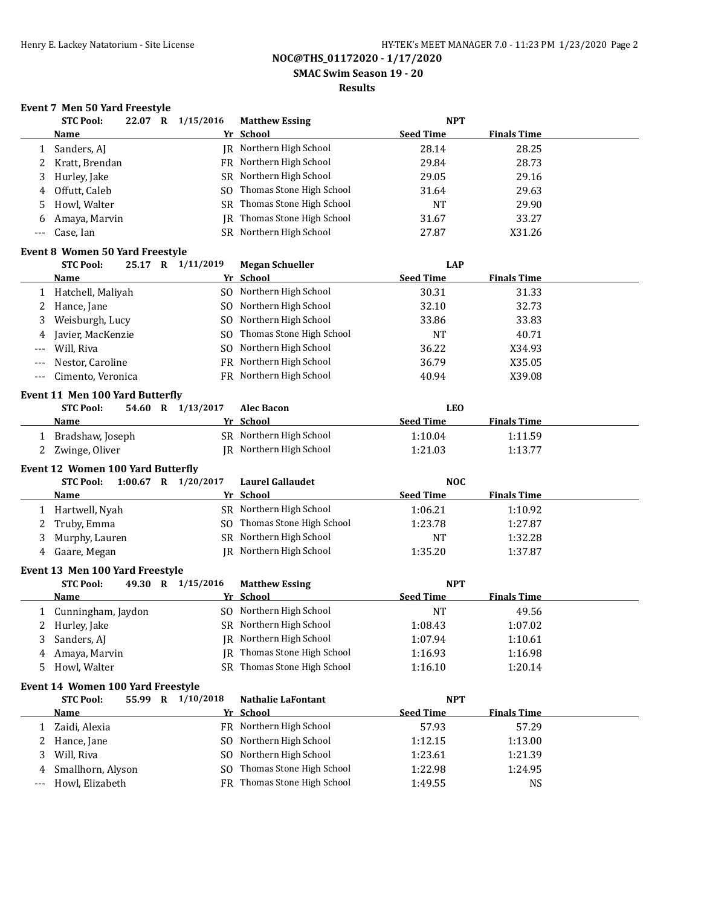**SMAC Swim Season 19 - 20**

### **Results**

|       | Event 7 Men 50 Yard Freestyle                                  |                       |                                |                  |                    |
|-------|----------------------------------------------------------------|-----------------------|--------------------------------|------------------|--------------------|
|       | <b>STC Pool:</b><br>22.07 R                                    | 1/15/2016             | <b>Matthew Essing</b>          | <b>NPT</b>       |                    |
|       | <b>Name</b>                                                    |                       | Yr School                      | <b>Seed Time</b> | <b>Finals Time</b> |
| 1     | Sanders, AJ                                                    |                       | JR Northern High School        | 28.14            | 28.25              |
| 2     | Kratt, Brendan                                                 |                       | FR Northern High School        | 29.84            | 28.73              |
| 3     | Hurley, Jake                                                   | SR                    | Northern High School           | 29.05            | 29.16              |
| 4     | Offutt, Caleb                                                  | SO.                   | Thomas Stone High School       | 31.64            | 29.63              |
| 5     | Howl, Walter                                                   |                       | SR Thomas Stone High School    | <b>NT</b>        | 29.90              |
| 6     | Amaya, Marvin                                                  | <b>IR</b>             | Thomas Stone High School       | 31.67            | 33.27              |
| $---$ | Case, Ian                                                      |                       | SR Northern High School        | 27.87            | X31.26             |
|       | <b>Event 8 Women 50 Yard Freestyle</b>                         |                       |                                |                  |                    |
|       | <b>STC Pool:</b>                                               | 25.17 R 1/11/2019     | <b>Megan Schueller</b>         | <b>LAP</b>       |                    |
|       | Name                                                           |                       | Yr School                      | <b>Seed Time</b> | <b>Finals Time</b> |
| 1     | Hatchell, Maliyah                                              |                       | SO Northern High School        | 30.31            | 31.33              |
| 2     | Hance, Jane                                                    | SO.                   | Northern High School           | 32.10            | 32.73              |
| 3     | Weisburgh, Lucy                                                | SO.                   | Northern High School           | 33.86            | 33.83              |
| 4     | Javier, MacKenzie                                              | SO.                   | Thomas Stone High School       | <b>NT</b>        | 40.71              |
| $---$ | Will, Riva                                                     | SO.                   | Northern High School           | 36.22            | X34.93             |
| $---$ | Nestor, Caroline                                               | FR                    | Northern High School           | 36.79            | X35.05             |
| $---$ | Cimento, Veronica                                              | FR                    | Northern High School           | 40.94            | X39.08             |
|       |                                                                |                       |                                |                  |                    |
|       | Event 11 Men 100 Yard Butterfly<br><b>STC Pool:</b><br>54.60 R | 1/13/2017             | <b>Alec Bacon</b>              | <b>LEO</b>       |                    |
|       | Name                                                           |                       | Yr School                      | <b>Seed Time</b> | <b>Finals Time</b> |
| 1     | Bradshaw, Joseph                                               |                       | SR Northern High School        | 1:10.04          | 1:11.59            |
| 2     | Zwinge, Oliver                                                 |                       | <b>IR</b> Northern High School | 1:21.03          | 1:13.77            |
|       |                                                                |                       |                                |                  |                    |
|       | Event 12 Women 100 Yard Butterfly                              |                       |                                |                  |                    |
|       | <b>STC Pool:</b>                                               | 1:00.67 R $1/20/2017$ | <b>Laurel Gallaudet</b>        | <b>NOC</b>       |                    |
|       | <b>Name</b>                                                    |                       | Yr School                      | <b>Seed Time</b> | <b>Finals Time</b> |
|       | 1 Hartwell, Nyah                                               |                       | SR Northern High School        | 1:06.21          | 1:10.92            |
| 2     | Truby, Emma                                                    | SO.                   | Thomas Stone High School       | 1:23.78          | 1:27.87            |
| 3     | Murphy, Lauren                                                 |                       | SR Northern High School        | <b>NT</b>        | 1:32.28            |
| 4     | Gaare, Megan                                                   |                       | <b>IR</b> Northern High School | 1:35.20          | 1:37.87            |
|       | Event 13 Men 100 Yard Freestyle                                |                       |                                |                  |                    |
|       | <b>STC Pool:</b>                                               | 49.30 R 1/15/2016     | <b>Matthew Essing</b>          | <b>NPT</b>       |                    |
|       | Name                                                           |                       | Yr School                      | <b>Seed Time</b> | <b>Finals Time</b> |
| 1     | Cunningham, Jaydon                                             |                       | SO Northern High School        | <b>NT</b>        | 49.56              |
| 2     | Hurley, Jake                                                   |                       | SR Northern High School        | 1:08.43          | 1:07.02            |
| 3     | Sanders, AJ                                                    | IR                    | Northern High School           | 1:07.94          | 1:10.61            |
| 4     | Amaya, Marvin                                                  | IR                    | Thomas Stone High School       | 1:16.93          | 1:16.98            |
| 5.    | Howl, Walter                                                   |                       | SR Thomas Stone High School    | 1:16.10          | 1:20.14            |
|       | Event 14 Women 100 Yard Freestyle                              |                       |                                |                  |                    |
|       | <b>STC Pool:</b>                                               | 55.99 R 1/10/2018     | <b>Nathalie LaFontant</b>      | <b>NPT</b>       |                    |
|       | <b>Name</b>                                                    |                       | Yr School                      | <b>Seed Time</b> | <b>Finals Time</b> |
|       | 1 Zaidi, Alexia                                                |                       | FR Northern High School        | 57.93            | 57.29              |
|       | 2 Hance, Jane                                                  |                       | SO Northern High School        | 1:12.15          | 1:13.00            |

3 Will, Riva 1:21.39 4 Smallhorn, Alyson SO Thomas Stone High School 1:22.98 1:24.95 --- Howl, Elizabeth **FR** Thomas Stone High School 1:49.55 NS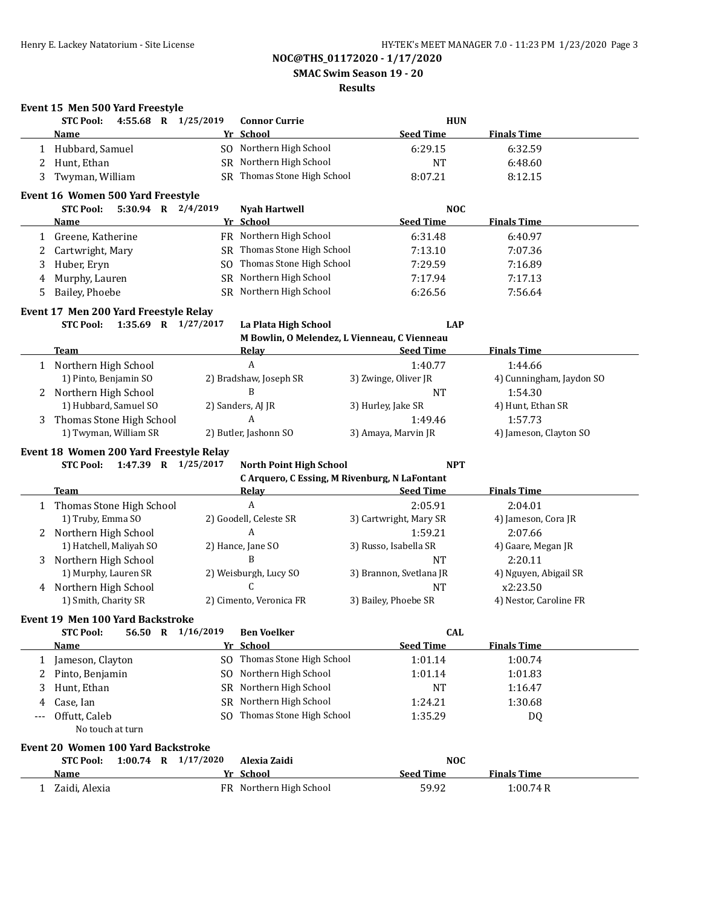**SMAC Swim Season 19 - 20**

### **Results**

|    | <b>STC Pool:</b>                                            |  | 4:55.68 R 1/25/2019     | <b>Connor Currie</b>        | <b>HUN</b>                                                        |                               |
|----|-------------------------------------------------------------|--|-------------------------|-----------------------------|-------------------------------------------------------------------|-------------------------------|
|    | Name                                                        |  |                         | Yr School                   | <b>Seed Time</b>                                                  | <b>Finals Time</b>            |
|    | 1 Hubbard, Samuel                                           |  |                         | SO Northern High School     | 6:29.15                                                           | 6:32.59                       |
| 2  | Hunt, Ethan                                                 |  |                         | SR Northern High School     | <b>NT</b>                                                         | 6:48.60                       |
| 3  | Twyman, William                                             |  |                         | SR Thomas Stone High School | 8:07.21                                                           | 8:12.15                       |
|    | Event 16 Women 500 Yard Freestyle                           |  |                         |                             |                                                                   |                               |
|    | <b>STC Pool:</b>                                            |  | 5:30.94 R 2/4/2019      | <b>Nyah Hartwell</b>        | <b>NOC</b>                                                        |                               |
|    | Name                                                        |  |                         | Yr School                   | <b>Seed Time</b>                                                  | <b>Finals Time</b>            |
|    | Greene, Katherine                                           |  |                         | FR Northern High School     | 6:31.48                                                           | 6:40.97                       |
| 2  | Cartwright, Mary                                            |  |                         | SR Thomas Stone High School | 7:13.10                                                           | 7:07.36                       |
| 3  | Huber, Eryn                                                 |  |                         | SO Thomas Stone High School | 7:29.59                                                           | 7:16.89                       |
| 4  | Murphy, Lauren                                              |  |                         | SR Northern High School     | 7:17.94                                                           | 7:17.13                       |
| 5. | Bailey, Phoebe                                              |  |                         | SR Northern High School     | 6:26.56                                                           | 7:56.64                       |
|    | Event 17 Men 200 Yard Freestyle Relay                       |  |                         |                             |                                                                   |                               |
|    | <b>STC Pool:</b>                                            |  | 1:35.69 R 1/27/2017     | La Plata High School        | <b>LAP</b>                                                        |                               |
|    |                                                             |  |                         |                             | M Bowlin, O Melendez, L Vienneau, C Vienneau                      |                               |
|    | Team                                                        |  |                         | <b>Relay</b>                | <b>Seed Time</b>                                                  | <b>Finals Time</b>            |
|    | 1 Northern High School                                      |  |                         | $\boldsymbol{A}$            | 1:40.77                                                           | 1:44.66                       |
|    | 1) Pinto, Benjamin SO                                       |  |                         | 2) Bradshaw, Joseph SR      | 3) Zwinge, Oliver JR                                              | 4) Cunningham, Jaydon SO      |
|    | 2 Northern High School                                      |  |                         | B                           | <b>NT</b>                                                         | 1:54.30                       |
|    | 1) Hubbard, Samuel SO                                       |  |                         | 2) Sanders, AJ JR           | 3) Hurley, Jake SR                                                | 4) Hunt, Ethan SR             |
|    | 3 Thomas Stone High School                                  |  |                         | $\boldsymbol{A}$            | 1:49.46                                                           | 1:57.73                       |
|    | 1) Twyman, William SR                                       |  |                         | 2) Butler, Jashonn SO       | 3) Amaya, Marvin JR                                               | 4) Jameson, Clayton SO        |
|    | Event 18 Women 200 Yard Freestyle Relay<br><b>STC Pool:</b> |  | 1:47.39 R 1/25/2017     | North Point High School     | <b>NPT</b>                                                        |                               |
|    | Team                                                        |  |                         | <b>Relay</b>                | C Arquero, C Essing, M Rivenburg, N LaFontant<br><b>Seed Time</b> | <b>Finals Time</b>            |
|    | 1 Thomas Stone High School                                  |  |                         | $\boldsymbol{A}$            | 2:05.91                                                           | 2:04.01                       |
|    | 1) Truby, Emma SO                                           |  |                         | 2) Goodell, Celeste SR      | 3) Cartwright, Mary SR                                            | 4) Jameson, Cora JR           |
|    |                                                             |  |                         | A                           | 1:59.21                                                           | 2:07.66                       |
|    | 2 Northern High School                                      |  |                         |                             |                                                                   |                               |
|    | 1) Hatchell, Maliyah SO                                     |  |                         | 2) Hance, Jane SO<br>B      | 3) Russo, Isabella SR<br><b>NT</b>                                | 4) Gaare, Megan JR<br>2:20.11 |
|    | 3 Northern High School<br>1) Murphy, Lauren SR              |  |                         | 2) Weisburgh, Lucy SO       | 3) Brannon, Svetlana JR                                           | 4) Nguyen, Abigail SR         |
|    | 4 Northern High School                                      |  |                         | C                           | <b>NT</b>                                                         | x2:23.50                      |
|    | 1) Smith, Charity SR                                        |  |                         | 2) Cimento, Veronica FR     | 3) Bailey, Phoebe SR                                              | 4) Nestor, Caroline FR        |
|    |                                                             |  |                         |                             |                                                                   |                               |
|    | Event 19 Men 100 Yard Backstroke<br><b>STC Pool:</b>        |  | 56.50 R 1/16/2019       | <b>Ben Voelker</b>          | <b>CAL</b>                                                        |                               |
|    | <b>Name</b>                                                 |  |                         | Yr School                   | <b>Seed Time</b>                                                  | <b>Finals Time</b>            |
|    |                                                             |  |                         | SO Thomas Stone High School | 1:01.14                                                           | 1:00.74                       |
| 2  | 1 Jameson, Clayton                                          |  | SO.                     | Northern High School        | 1:01.14                                                           | 1:01.83                       |
| 3  | Pinto, Benjamin                                             |  |                         | SR Northern High School     |                                                                   |                               |
|    | Hunt, Ethan                                                 |  |                         |                             | <b>NT</b>                                                         | 1:16.47                       |
| 4  | Case, Ian                                                   |  | SO.                     | SR Northern High School     | 1:24.21                                                           | 1:30.68                       |
|    | Offutt, Caleb<br>No touch at turn                           |  |                         | Thomas Stone High School    | 1:35.29                                                           | DQ                            |
|    |                                                             |  |                         |                             |                                                                   |                               |
|    | <b>Event 20 Women 100 Yard Backstroke</b>                   |  |                         |                             |                                                                   |                               |
|    | <b>STC Pool:</b><br><b>Name</b>                             |  | $1:00.74$ R $1/17/2020$ | Alexia Zaidi<br>Yr School   | <b>NOC</b><br><b>Seed Time</b>                                    | <b>Finals Time</b>            |